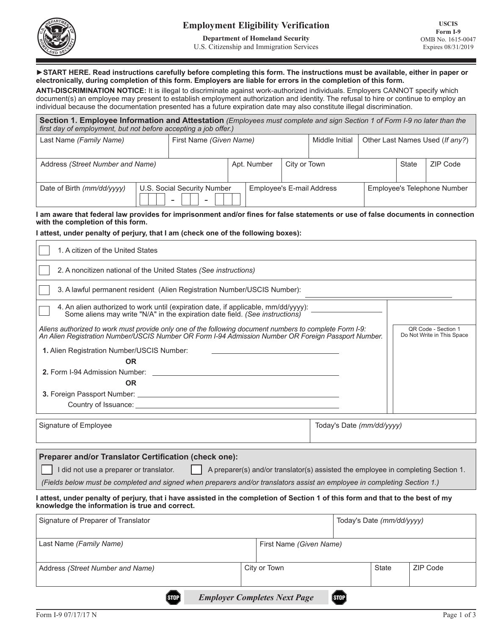

**Department of Homeland Security** U.S. Citizenship and Immigration Services

### ►**START HERE. Read instructions carefully before completing this form. The instructions must be available, either in paper or electronically, during completion of this form. Employers are liable for errors in the completion of this form.**

**ANTI-DISCRIMINATION NOTICE:** It is illegal to discriminate against work-authorized individuals. Employers CANNOT specify which document(s) an employee may present to establish employment authorization and identity. The refusal to hire or continue to employ an individual because the documentation presented has a future expiration date may also constitute illegal discrimination.

| Section 1. Employee Information and Attestation (Employees must complete and sign Section 1 of Form I-9 no later than the<br>first day of employment, but not before accepting a job offer.) |  |                             |             |                           |                |                                 |  |                             |          |
|----------------------------------------------------------------------------------------------------------------------------------------------------------------------------------------------|--|-----------------------------|-------------|---------------------------|----------------|---------------------------------|--|-----------------------------|----------|
| Last Name (Family Name)                                                                                                                                                                      |  | First Name (Given Name)     |             |                           | Middle Initial | Other Last Names Used (If any?) |  |                             |          |
| Address (Street Number and Name)                                                                                                                                                             |  |                             | Apt. Number |                           | City or Town   |                                 |  | State                       | ZIP Code |
| Date of Birth (mm/dd/yyyy)                                                                                                                                                                   |  | U.S. Social Security Number |             | Employee's E-mail Address |                |                                 |  | Employee's Telephone Number |          |

**I am aware that federal law provides for imprisonment and/or fines for false statements or use of false documents in connection with the completion of this form.**

### **I attest, under penalty of perjury, that I am (check one of the following boxes):**

| 1. A citizen of the United States                                                                                                                                                                                                                                   |                                                                                                                                                                    |  |                         |                           |          |                                                                                   |  |  |
|---------------------------------------------------------------------------------------------------------------------------------------------------------------------------------------------------------------------------------------------------------------------|--------------------------------------------------------------------------------------------------------------------------------------------------------------------|--|-------------------------|---------------------------|----------|-----------------------------------------------------------------------------------|--|--|
| 2. A noncitizen national of the United States (See instructions)                                                                                                                                                                                                    |                                                                                                                                                                    |  |                         |                           |          |                                                                                   |  |  |
| 3. A lawful permanent resident (Alien Registration Number/USCIS Number):                                                                                                                                                                                            |                                                                                                                                                                    |  |                         |                           |          |                                                                                   |  |  |
|                                                                                                                                                                                                                                                                     | 4. An alien authorized to work until (expiration date, if applicable, mm/dd/yyyy):<br>Some aliens may write "N/A" in the expiration date field. (See instructions) |  |                         |                           |          |                                                                                   |  |  |
| Aliens authorized to work must provide only one of the following document numbers to complete Form I-9:<br>QR Code - Section 1<br>Do Not Write in This Space<br>An Alien Registration Number/USCIS Number OR Form I-94 Admission Number OR Foreign Passport Number. |                                                                                                                                                                    |  |                         |                           |          |                                                                                   |  |  |
| 1. Alien Registration Number/USCIS Number:                                                                                                                                                                                                                          |                                                                                                                                                                    |  |                         |                           |          |                                                                                   |  |  |
| <b>OR</b>                                                                                                                                                                                                                                                           |                                                                                                                                                                    |  |                         |                           |          |                                                                                   |  |  |
|                                                                                                                                                                                                                                                                     |                                                                                                                                                                    |  |                         |                           |          |                                                                                   |  |  |
| <b>OR</b>                                                                                                                                                                                                                                                           |                                                                                                                                                                    |  |                         |                           |          |                                                                                   |  |  |
|                                                                                                                                                                                                                                                                     |                                                                                                                                                                    |  |                         |                           |          |                                                                                   |  |  |
|                                                                                                                                                                                                                                                                     |                                                                                                                                                                    |  |                         |                           |          |                                                                                   |  |  |
| Signature of Employee                                                                                                                                                                                                                                               |                                                                                                                                                                    |  |                         | Today's Date (mm/dd/yyyy) |          |                                                                                   |  |  |
| Preparer and/or Translator Certification (check one):                                                                                                                                                                                                               |                                                                                                                                                                    |  |                         |                           |          |                                                                                   |  |  |
| I did not use a preparer or translator.                                                                                                                                                                                                                             |                                                                                                                                                                    |  |                         |                           |          | A preparer(s) and/or translator(s) assisted the employee in completing Section 1. |  |  |
| (Fields below must be completed and signed when preparers and/or translators assist an employee in completing Section 1.)                                                                                                                                           |                                                                                                                                                                    |  |                         |                           |          |                                                                                   |  |  |
| I attest, under penalty of perjury, that i have assisted in the completion of Section 1 of this form and that to the best of my<br>knowledge the information is true and correct.                                                                                   |                                                                                                                                                                    |  |                         |                           |          |                                                                                   |  |  |
| Signature of Preparer of Translator                                                                                                                                                                                                                                 |                                                                                                                                                                    |  |                         | Today's Date (mm/dd/yyyy) |          |                                                                                   |  |  |
| Last Name (Family Name)                                                                                                                                                                                                                                             |                                                                                                                                                                    |  | First Name (Given Name) |                           |          |                                                                                   |  |  |
| Address (Street Number and Name)                                                                                                                                                                                                                                    | City or Town                                                                                                                                                       |  |                         | <b>State</b>              | ZIP Code |                                                                                   |  |  |
|                                                                                                                                                                                                                                                                     |                                                                                                                                                                    |  |                         |                           |          |                                                                                   |  |  |

 $\left[\text{STOP}\right]$ 

 $[\text{stop}]$ *Employer Completes Next Page*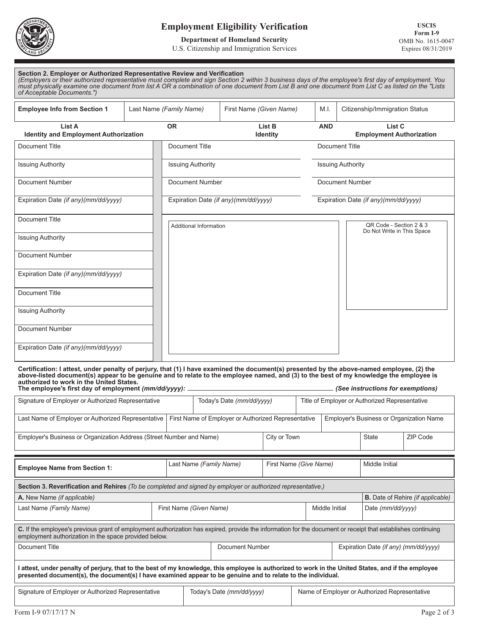

# **Employment Eligibility Verification**

### **Department of Homeland Security**

#### U.S. Citizenship and Immigration Services

| Section 2. Employer or Authorized Representative Review and Verification                                                                             |
|------------------------------------------------------------------------------------------------------------------------------------------------------|
| (Employers or their authorized representative must complete and sign Section 2 within 3 business days of the employee's first day of employment. You |
| must physically examine one document from list A OR a combination of one document from List B and one document from List C as listed on the "Lists   |
| of Acceptable Documents.")                                                                                                                           |

| <b>Employee Info from Section 1</b>                    | Last Name (Family Name)       | First Name (Given Name)              | M.I.                                  | Citizenship/Immigration Status            |  |
|--------------------------------------------------------|-------------------------------|--------------------------------------|---------------------------------------|-------------------------------------------|--|
| List A<br><b>Identity and Employment Authorization</b> | <b>OR</b>                     | List B<br><b>Identity</b>            | <b>AND</b>                            | List C<br><b>Employment Authorization</b> |  |
| Document Title                                         | Document Title                |                                      |                                       | <b>Document Title</b>                     |  |
| <b>Issuing Authority</b>                               | <b>Issuing Authority</b>      |                                      | <b>Issuing Authority</b>              |                                           |  |
| Document Number                                        | Document Number               |                                      | <b>Document Number</b>                |                                           |  |
| Expiration Date (if any)(mm/dd/yyyy)                   |                               | Expiration Date (if any)(mm/dd/yyyy) | Expiration Date (if any) (mm/dd/yyyy) |                                           |  |
| Document Title                                         | <b>Additional Information</b> |                                      |                                       | QR Code - Section 2 & 3                   |  |
| <b>Issuing Authority</b>                               |                               |                                      |                                       | Do Not Write in This Space                |  |
| Document Number                                        |                               |                                      |                                       |                                           |  |
| Expiration Date (if any)(mm/dd/yyyy)                   |                               |                                      |                                       |                                           |  |
| Document Title                                         |                               |                                      |                                       |                                           |  |
| <b>Issuing Authority</b>                               |                               |                                      |                                       |                                           |  |
| Document Number                                        |                               |                                      |                                       |                                           |  |
| Expiration Date (if any)(mm/dd/yyyy)                   |                               |                                      |                                       |                                           |  |

**Certification: I attest, under penalty of perjury, that (1) I have examined the document(s) presented by the above-named employee, (2) the above-listed document(s) appear to be genuine and to relate to the employee named, and (3) to the best of my knowledge the employee is authorized to work in the United States.**

| The employee's first day of employment (mm/dd/yyyy):<br>(See instructions for exemptions)                                                                                                                                                                         |  |                         |                                                     |  |                                               |                                                |              |                |  |
|-------------------------------------------------------------------------------------------------------------------------------------------------------------------------------------------------------------------------------------------------------------------|--|-------------------------|-----------------------------------------------------|--|-----------------------------------------------|------------------------------------------------|--------------|----------------|--|
| Signature of Employer or Authorized Representative                                                                                                                                                                                                                |  |                         | Today's Date (mm/dd/yyyy)                           |  |                                               | Title of Employer or Authorized Representative |              |                |  |
| Last Name of Employer or Authorized Representative                                                                                                                                                                                                                |  |                         | First Name of Employer or Authorized Representative |  |                                               | Employer's Business or Organization Name       |              |                |  |
| Employer's Business or Organization Address (Street Number and Name)                                                                                                                                                                                              |  | City or Town            |                                                     |  |                                               |                                                | <b>State</b> | ZIP Code       |  |
| <b>Employee Name from Section 1:</b>                                                                                                                                                                                                                              |  | Last Name (Family Name) |                                                     |  | First Name (Give Name)                        |                                                |              | Middle Initial |  |
| Section 3. Reverification and Rehires (To be completed and signed by employer or authorized representative.)                                                                                                                                                      |  |                         |                                                     |  |                                               |                                                |              |                |  |
| A. New Name (if applicable)                                                                                                                                                                                                                                       |  |                         |                                                     |  |                                               | <b>B.</b> Date of Rehire (if applicable)       |              |                |  |
| Last Name (Family Name)<br>First Name (Given Name)                                                                                                                                                                                                                |  |                         | Middle Initial                                      |  |                                               | Date (mm/dd/yyyy)                              |              |                |  |
| C. If the employee's previous grant of employment authorization has expired, provide the information for the document or receipt that establishes continuing<br>employment authorization in the space provided below.                                             |  |                         |                                                     |  |                                               |                                                |              |                |  |
| Document Title                                                                                                                                                                                                                                                    |  |                         | Document Number                                     |  |                                               | Expiration Date (if any) (mm/dd/yyyy)          |              |                |  |
| attest, under penalty of perjury, that to the best of my knowledge, this employee is authorized to work in the United States, and if the employee<br>presented document(s), the document(s) I have examined appear to be genuine and to relate to the individual. |  |                         |                                                     |  |                                               |                                                |              |                |  |
| Signature of Employer or Authorized Representative                                                                                                                                                                                                                |  |                         | Today's Date (mm/dd/yyyy)                           |  | Name of Employer or Authorized Representative |                                                |              |                |  |